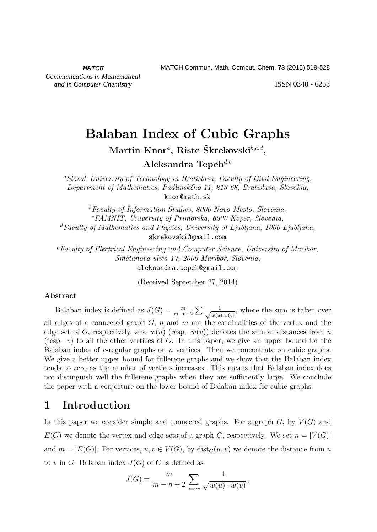ISSN 0340 - 6253

# Balaban Index of Cubic Graphs

 $\operatorname{Martin}$   $\operatorname{Knor}$ <sup>a</sup>, Riste Škrekovski $^{b,c,d},$ 

Aleksandra Tepeh<sup>d,e</sup>

<sup>a</sup>Slovak University of Technology in Bratislava, Faculty of Civil Engineering, Department of Mathematics, Radlinského 11, 813 68, Bratislava, Slovakia, knor@math.sk

 ${}^{b}$ Faculty of Information Studies, 8000 Novo Mesto, Slovenia,  $c$ FAMNIT, University of Primorska, 6000 Koper, Slovenia,  $d$ Faculty of Mathematics and Physics, University of Ljubljana, 1000 Ljubljana, skrekovski@gmail.com

<sup>e</sup>Faculty of Electrical Engineering and Computer Science, University of Maribor, Smetanova ulica 17, 2000 Maribor, Slovenia, aleksandra.tepeh@gmail.com

(Received September 27, 2014)

#### Abstract

Balaban index is defined as  $J(G) = \frac{m}{m-n+2} \sum \frac{1}{\sqrt{w(u) \cdot w(v)}}$ , where the sum is taken over all edges of a connected graph  $G$ , n and m are the cardinalities of the vertex and the edge set of G, respectively, and  $w(u)$  (resp.  $w(v)$ ) denotes the sum of distances from u (resp.  $v$ ) to all the other vertices of G. In this paper, we give an upper bound for the Balaban index of  $r$ -regular graphs on  $n$  vertices. Then we concentrate on cubic graphs. We give a better upper bound for fullerene graphs and we show that the Balaban index tends to zero as the number of vertices increases. This means that Balaban index does not distinguish well the fullerene graphs when they are sufficiently large. We conclude the paper with a conjecture on the lower bound of Balaban index for cubic graphs.

#### 1 Introduction

In this paper we consider simple and connected graphs. For a graph  $G$ , by  $V(G)$  and  $E(G)$  we denote the vertex and edge sets of a graph G, respectively. We set  $n = |V(G)|$ and  $m = |E(G)|$ . For vertices,  $u, v \in V(G)$ , by dist $\iota_G(u, v)$  we denote the distance from u to v in G. Balaban index  $J(G)$  of G is defined as

$$
J(G) = \frac{m}{m - n + 2} \sum_{e=uv} \frac{1}{\sqrt{w(u) \cdot w(v)}},
$$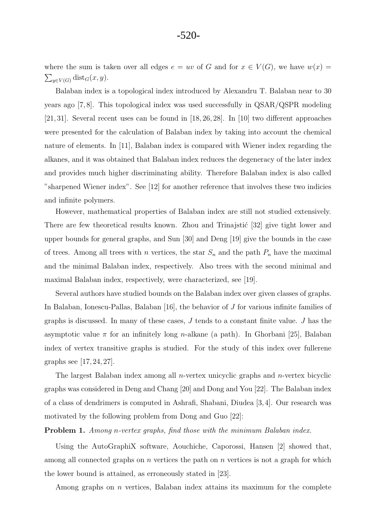#### -520-

where the sum is taken over all edges  $e = uv$  of G and for  $x \in V(G)$ , we have  $w(x) =$  $\sum_{y \in V(G)} \text{dist}_G(x, y).$ 

Balaban index is a topological index introduced by Alexandru T. Balaban near to 30 years ago [7, 8]. This topological index was used successfully in QSAR/QSPR modeling [21, 31]. Several recent uses can be found in [18, 26, 28]. In [10] two different approaches were presented for the calculation of Balaban index by taking into account the chemical nature of elements. In [11], Balaban index is compared with Wiener index regarding the alkanes, and it was obtained that Balaban index reduces the degeneracy of the later index and provides much higher discriminating ability. Therefore Balaban index is also called "sharpened Wiener index". See [12] for another reference that involves these two indicies and infinite polymers.

However, mathematical properties of Balaban index are still not studied extensively. There are few theoretical results known. Zhou and Trinajstić [32] give tight lower and upper bounds for general graphs, and Sun [30] and Deng [19] give the bounds in the case of trees. Among all trees with n vertices, the star  $S_n$  and the path  $P_n$  have the maximal and the minimal Balaban index, respectively. Also trees with the second minimal and maximal Balaban index, respectively, were characterized, see [19].

Several authors have studied bounds on the Balaban index over given classes of graphs. In Balaban, Ionescu-Pallas, Balaban [16], the behavior of J for various infinite families of graphs is discussed. In many of these cases, J tends to a constant finite value. J has the asymptotic value  $\pi$  for an infinitely long *n*-alkane (a path). In Ghorbani [25], Balaban index of vertex transitive graphs is studied. For the study of this index over fullerene graphs see [17, 24, 27].

The largest Balaban index among all  $n$ -vertex unicyclic graphs and  $n$ -vertex bicyclic graphs was considered in Deng and Chang [20] and Dong and You [22]. The Balaban index of a class of dendrimers is computed in Ashrafi, Shabani, Diudea [3,4]. Our research was motivated by the following problem from Dong and Guo [22]:

Problem 1. Among n-vertex graphs, find those with the minimum Balaban index.

Using the AutoGraphiX software, Aouchiche, Caporossi, Hansen [2] showed that, among all connected graphs on n vertices the path on n vertices is not a graph for which the lower bound is attained, as erroneously stated in [23].

Among graphs on  $n$  vertices, Balaban index attains its maximum for the complete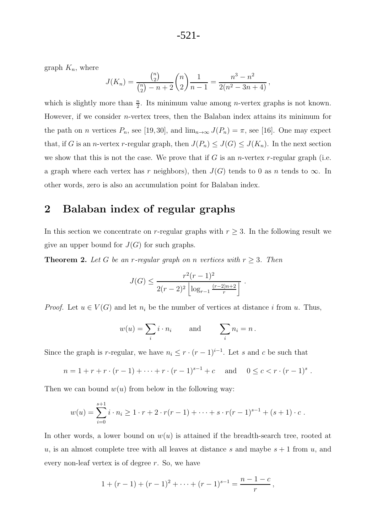graph  $K_n$ , where

$$
J(K_n) = \frac{\binom{n}{2}}{\binom{n}{2} - n + 2} \binom{n}{2} \frac{1}{n-1} = \frac{n^3 - n^2}{2(n^2 - 3n + 4)},
$$

which is slightly more than  $\frac{n}{2}$ . Its minimum value among *n*-vertex graphs is not known. However, if we consider  $n$ -vertex trees, then the Balaban index attains its minimum for the path on n vertices  $P_n$ , see [19, 30], and  $\lim_{n\to\infty} J(P_n) = \pi$ , see [16]. One may expect that, if G is an n-vertex r-regular graph, then  $J(P_n) \leq J(G) \leq J(K_n)$ . In the next section we show that this is not the case. We prove that if G is an *n*-vertex r-regular graph (i.e. a graph where each vertex has r neighbors), then  $J(G)$  tends to 0 as n tends to  $\infty$ . In other words, zero is also an accumulation point for Balaban index.

# 2 Balaban index of regular graphs

In this section we concentrate on r-regular graphs with  $r \geq 3$ . In the following result we give an upper bound for  $J(G)$  for such graphs.

**Theorem 2.** Let G be an r-regular graph on n vertices with  $r \geq 3$ . Then

$$
J(G) \le \frac{r^2(r-1)^2}{2(r-2)^2 \left\lfloor \log_{r-1} \frac{(r-2)n+2}{r} \right\rfloor} \ .
$$

*Proof.* Let  $u \in V(G)$  and let  $n_i$  be the number of vertices at distance i from u. Thus,

$$
w(u) = \sum_i i \cdot n_i
$$
 and  $\sum_i n_i = n$ .

Since the graph is r-regular, we have  $n_i \leq r \cdot (r-1)^{i-1}$ . Let s and c be such that

$$
n = 1 + r + r \cdot (r - 1) + \dots + r \cdot (r - 1)^{s-1} + c \quad \text{and} \quad 0 \leq c < r \cdot (r - 1)^s \; .
$$

Then we can bound  $w(u)$  from below in the following way:

$$
w(u) = \sum_{i=0}^{s+1} i \cdot n_i \ge 1 \cdot r + 2 \cdot r(r-1) + \dots + s \cdot r(r-1)^{s-1} + (s+1) \cdot c.
$$

In other words, a lower bound on  $w(u)$  is attained if the breadth-search tree, rooted at u, is an almost complete tree with all leaves at distance s and maybe  $s + 1$  from u, and every non-leaf vertex is of degree r. So, we have

$$
1 + (r - 1) + (r - 1)^{2} + \dots + (r - 1)^{s-1} = \frac{n-1-c}{r},
$$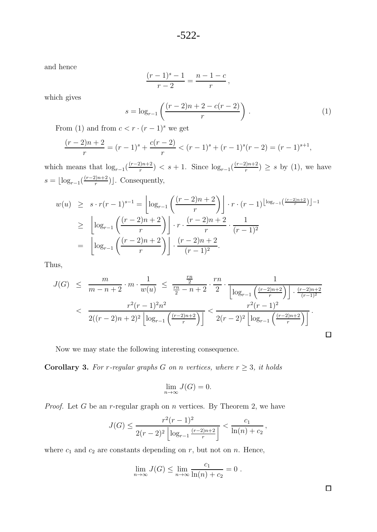and hence

$$
\frac{(r-1)^s - 1}{r-2} = \frac{n-1-c}{r},
$$

which gives

$$
s = \log_{r-1} \left( \frac{(r-2)n + 2 - c(r-2)}{r} \right).
$$
 (1)

From (1) and from  $c < r \cdot (r-1)^s$  we get

$$
\frac{(r-2)n+2}{r} = (r-1)^s + \frac{c(r-2)}{r} < (r-1)^s + (r-1)^s (r-2) = (r-1)^{s+1},
$$

which means that  $\log_{r-1}\left(\frac{(r-2)n+2}{r}\right) < s+1$ . Since  $\log_{r-1}\left(\frac{(r-2)n+2}{r}\right) \geq s$  by (1), we have  $s = \lfloor \log_{r-1}\left(\frac{(r-2)n+2}{r}\right) \rfloor$ . Consequently,

$$
w(u) \geq s \cdot r(r-1)^{s-1} = \left\lfloor \log_{r-1}\left(\frac{(r-2)n+2}{r}\right) \right\rfloor \cdot r \cdot (r-1)^{\left\lfloor \log_{r-1}\left(\frac{(r-2)n+2}{r}\right) \right\rfloor - 1}
$$
  

$$
\geq \left\lfloor \log_{r-1}\left(\frac{(r-2)n+2}{r}\right) \right\rfloor \cdot r \cdot \frac{(r-2)n+2}{r} \cdot \frac{1}{(r-1)^2}
$$
  

$$
= \left\lfloor \log_{r-1}\left(\frac{(r-2)n+2}{r}\right) \right\rfloor \cdot \frac{(r-2)n+2}{(r-1)^2}.
$$

Thus,

$$
J(G) \leq \frac{m}{m-n+2} \cdot m \cdot \frac{1}{w(u)} \leq \frac{\frac{r}{2}}{\frac{r}{2}-n+2} \cdot \frac{r}{2} \cdot \frac{r}{\left[\log_{r-1}\left(\frac{(r-2)n+2}{r}\right)\right] \cdot \frac{(r-2)n+2}{(r-1)^2}}}{\left[\log_{r-1}\left(\frac{(r-2)n+2}{r}\right)\right] \cdot \left[\log_{r-1}\left(\frac{(r-2)n+2}{r}\right)\right]} \leq \frac{r^2(r-1)^2}{2(r-2)^2 \left[\log_{r-1}\left(\frac{(r-2)n+2}{r}\right)\right]}.
$$

Now we may state the following interesting consequence.

Corollary 3. For r-regular graphs G on n vertices, where  $r \geq 3$ , it holds

$$
\lim_{n \to \infty} J(G) = 0.
$$

*Proof.* Let  $G$  be an  $r$ -regular graph on  $n$  vertices. By Theorem 2, we have

$$
J(G) \le \frac{r^2(r-1)^2}{2(r-2)^2 \left\lfloor \log_{r-1} \frac{(r-2)n+2}{r} \right\rfloor} < \frac{c_1}{\ln(n)+c_2},
$$

where  $c_1$  and  $c_2$  are constants depending on  $r$ , but not on  $n$ . Hence,

$$
\lim_{n \to \infty} J(G) \le \lim_{n \to \infty} \frac{c_1}{\ln(n) + c_2} = 0.
$$

 $\Box$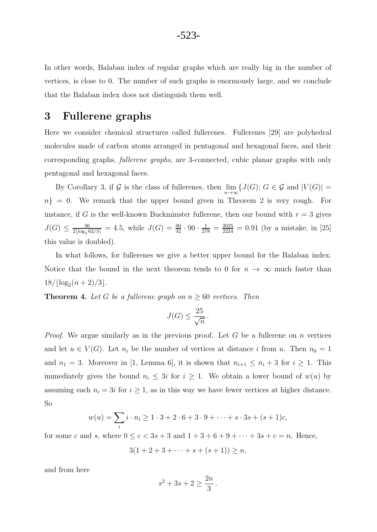In other words, Balaban index of regular graphs which are really big in the number of vertices, is close to 0. The number of such graphs is enormously large, and we conclude that the Balaban index does not distinguish them well.

#### 3 Fullerene graphs

Here we consider chemical structures called fullerenes. Fullerenes [29] are polyhedral molecules made of carbon atoms arranged in pentagonal and hexagonal faces, and their corresponding graphs, *fullerene graphs*, are 3-connected, cubic planar graphs with only pentagonal and hexagonal faces.

By Corollary 3, if G is the class of fullerenes, then  $\lim_{n\to\infty} \{J(G);\,G\in\mathcal{G}$  and  $|V(G)|=$  $n\} = 0$ . We remark that the upper bound given in Theorem 2 is very rough. For instance, if G is the well-known Buckminster fullerene, then our bound with  $r = 3$  gives  $J(G) \leq \frac{36}{2\lfloor \log_2 62/3 \rfloor} = 4.5$ , while  $J(G) = \frac{90}{32} \cdot 90 \cdot \frac{1}{278} = \frac{2025}{2224} = 0.91$  (by a mistake, in [25] this value is doubled).

In what follows, for fullerenes we give a better upper bound for the Balaban index. Notice that the bound in the next theorem tends to 0 for  $n \to \infty$  much faster than  $18/|\log_2(n+2)/3|$ .

**Theorem 4.** Let G be a fullerene graph on  $n \geq 60$  vertices. Then

$$
J(G) \le \frac{25}{\sqrt{n}} \, .
$$

*Proof.* We argue similarly as in the previous proof. Let G be a fullerene on n vertices and let  $u \in V(G)$ . Let  $n_i$  be the number of vertices at distance i from u. Then  $n_0 = 1$ and  $n_1 = 3$ . Moreover in [1, Lemma 6], it is shown that  $n_{i+1} \leq n_i + 3$  for  $i \geq 1$ . This immediately gives the bound  $n_i \leq 3i$  for  $i \geq 1$ . We obtain a lower bound of  $w(u)$  by assuming each  $n_i = 3i$  for  $i \geq 1$ , as in this way we have fewer vertices at higher distance. So

$$
w(u) = \sum_{i} i \cdot n_i \ge 1 \cdot 3 + 2 \cdot 6 + 3 \cdot 9 + \dots + s \cdot 3s + (s+1)c,
$$

for some c and s, where  $0 \le c \le 3s + 3$  and  $1 + 3 + 6 + 9 + \cdots + 3s + c = n$ . Hence,

$$
3(1+2+3+\cdots+s+(s+1)) \ge n,
$$

and from here

$$
s^2 + 3s + 2 \ge \frac{2n}{3} \, .
$$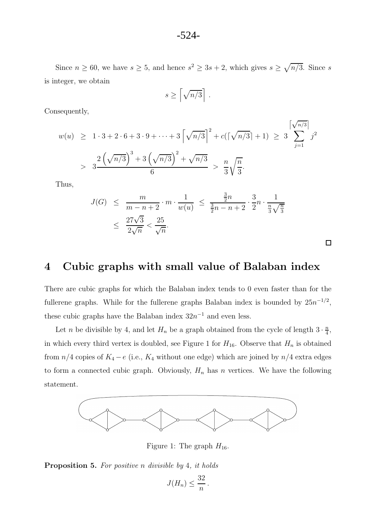Since  $n \ge 60$ , we have  $s \ge 5$ , and hence  $s^2 \ge 3s + 2$ , which gives  $s \ge \sqrt{n/3}$ . Since s is integer, we obtain

$$
s \ge \left\lceil \sqrt{n/3} \right\rceil.
$$

Consequently,

$$
w(u) \ge 1 \cdot 3 + 2 \cdot 6 + 3 \cdot 9 + \dots + 3 \left[ \sqrt{n/3} \right]^2 + c \left( \left[ \sqrt{n/3} \right] + 1 \right) \ge 3 \sum_{j=1}^{\left[ \sqrt{n/3} \right]} j^2
$$
  
> 
$$
3 \frac{2 \left( \sqrt{n/3} \right)^3 + 3 \left( \sqrt{n/3} \right)^2 + \sqrt{n/3}}{6} > \frac{n}{3} \sqrt{\frac{n}{3}}.
$$

Thus,

$$
J(G) \leq \frac{m}{m-n+2} \cdot m \cdot \frac{1}{w(u)} \leq \frac{\frac{3}{2}n}{\frac{3}{2}n-n+2} \cdot \frac{3}{2}n \cdot \frac{1}{\frac{n}{3}\sqrt{\frac{n}{3}}} \leq \frac{27\sqrt{3}}{2\sqrt{n}} < \frac{25}{\sqrt{n}}.
$$

 $\Box$ 

# 4 Cubic graphs with small value of Balaban index

There are cubic graphs for which the Balaban index tends to 0 even faster than for the fullerene graphs. While for the fullerene graphs Balaban index is bounded by  $25n^{-1/2}$ , these cubic graphs have the Balaban index  $32n^{-1}$  and even less.

Let *n* be divisible by 4, and let  $H_n$  be a graph obtained from the cycle of length  $3 \cdot \frac{n}{4}$ , in which every third vertex is doubled, see Figure 1 for  $H_{16}$ . Observe that  $H_n$  is obtained from  $n/4$  copies of  $K_4 - e$  (i.e.,  $K_4$  without one edge) which are joined by  $n/4$  extra edges to form a connected cubic graph. Obviously,  $H_n$  has n vertices. We have the following statement.



Figure 1: The graph  $H_{16}$ .

Proposition 5. For positive n divisible by 4, it holds

$$
J(H_n) \leq \frac{32}{n}.
$$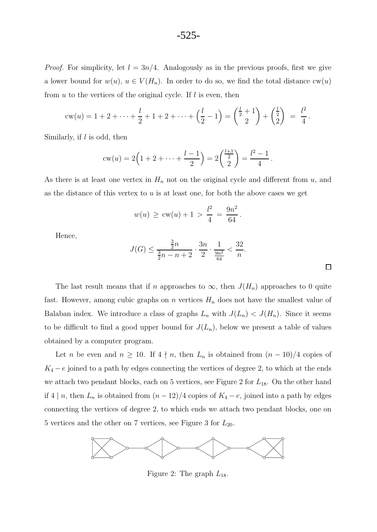*Proof.* For simplicity, let  $l = 3n/4$ . Analogously as in the previous proofs, first we give a lower bound for  $w(u)$ ,  $u \in V(H_n)$ . In order to do so, we find the total distance  $cw(u)$ from  $u$  to the vertices of the original cycle. If  $l$  is even, then

$$
cw(u) = 1 + 2 + \dots + \frac{l}{2} + 1 + 2 + \dots + \left(\frac{l}{2} - 1\right) = \binom{\frac{l}{2} + 1}{2} + \binom{\frac{l}{2}}{2} = \frac{l^2}{4}.
$$

Similarly, if  $l$  is odd, then

$$
cw(u) = 2(1 + 2 + \dots + \frac{l-1}{2}) = 2(\frac{l+1}{2}) = \frac{l^2 - 1}{4}.
$$

As there is at least one vertex in  $H_n$  not on the original cycle and different from  $u$ , and as the distance of this vertex to  $u$  is at least one, for both the above cases we get

$$
w(u) \geq \text{cw}(u) + 1 > \frac{l^2}{4} = \frac{9n^2}{64}.
$$

Hence,

$$
J(G) \le \frac{\frac{3}{2}n}{\frac{3}{2}n - n + 2} \cdot \frac{3n}{2} \cdot \frac{1}{\frac{9n^2}{64}} < \frac{32}{n}.
$$

 $\Box$ 

The last result means that if n approaches to  $\infty$ , then  $J(H_n)$  approaches to 0 quite fast. However, among cubic graphs on n vertices  $H_n$  does not have the smallest value of Balaban index. We introduce a class of graphs  $L_n$  with  $J(L_n) < J(H_n)$ . Since it seems to be difficult to find a good upper bound for  $J(L_n)$ , below we present a table of values obtained by a computer program.

Let n be even and  $n \geq 10$ . If  $4 \nmid n$ , then  $L_n$  is obtained from  $(n-10)/4$  copies of  $K_4 - e$  joined to a path by edges connecting the vertices of degree 2, to which at the ends we attach two pendant blocks, each on 5 vertices, see Figure 2 for  $L_{18}$ . On the other hand if 4 | n, then  $L_n$  is obtained from  $(n-12)/4$  copies of  $K_4 - e$ , joined into a path by edges connecting the vertices of degree 2, to which ends we attach two pendant blocks, one on 5 vertices and the other on 7 vertices, see Figure 3 for  $L_{20}$ .



Figure 2: The graph  $L_{18}$ .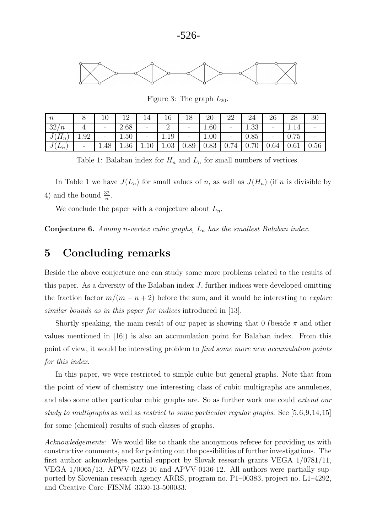

Figure 3: The graph  $L_{20}$ .

| $\boldsymbol{n}$              |                          | ΙU   | 1 ຕ<br>∸ |      | 10         | 18                       | 20   | ററ<br>∠∠                           | $\Omega$                      | 26   | 28   | -30      |
|-------------------------------|--------------------------|------|----------|------|------------|--------------------------|------|------------------------------------|-------------------------------|------|------|----------|
| 32 <sub>l</sub><br>$\sqrt{n}$ |                          | -    | 2.68     | -    |            | -                        | 1.60 | -                                  | ററ<br>1.OO                    | -    | 1.14 |          |
| $\mathbf{u}_n$<br>◡           | 1.92                     | -    | 1.50     | -    | 1.19       | $\overline{\phantom{a}}$ | 1.00 | -                                  | 0.85                          | ۰    | 0.75 | -        |
| $\n  -n\n$<br>◡               | $\overline{\phantom{a}}$ | 1.48 | $1.36\,$ | 1.IU | ΩQ<br>1.UJ | 0.89                     | 0.83 | $\overline{ }$<br>$\sqrt{2}$<br>υ. | $\sim$ $\sim$<br>$\checkmark$ | 0.64 | 0.61 | $0.56\,$ |

Table 1: Balaban index for  $H_n$  and  $L_n$  for small numbers of vertices.

In Table 1 we have  $J(L_n)$  for small values of n, as well as  $J(H_n)$  (if n is divisible by 4) and the bound  $\frac{32}{n}$ .

We conclude the paper with a conjecture about  $L_n$ .

**Conjecture 6.** Among n-vertex cubic graphs,  $L_n$  has the smallest Balaban index.

# 5 Concluding remarks

Beside the above conjecture one can study some more problems related to the results of this paper. As a diversity of the Balaban index J, further indices were developed omitting the fraction factor  $m/(m - n + 2)$  before the sum, and it would be interesting to *explore* similar bounds as in this paper for indices introduced in [13].

Shortly speaking, the main result of our paper is showing that 0 (beside  $\pi$  and other values mentioned in [16]) is also an accumulation point for Balaban index. From this point of view, it would be interesting problem to find some more new accumulation points for this index.

In this paper, we were restricted to simple cubic but general graphs. Note that from the point of view of chemistry one interesting class of cubic multigraphs are annulenes, and also some other particular cubic graphs are. So as further work one could extend our study to multigraphs as well as restrict to some particular regular graphs. See [5,6,9,14,15] for some (chemical) results of such classes of graphs.

Acknowledgements: We would like to thank the anonymous referee for providing us with constructive comments, and for pointing out the possibilities of further investigations. The first author acknowledges partial support by Slovak research grants VEGA 1/0781/11, VEGA 1/0065/13, APVV-0223-10 and APVV-0136-12. All authors were partially supported by Slovenian research agency ARRS, program no. P1–00383, project no. L1–4292, and Creative Core–FISNM–3330-13-500033.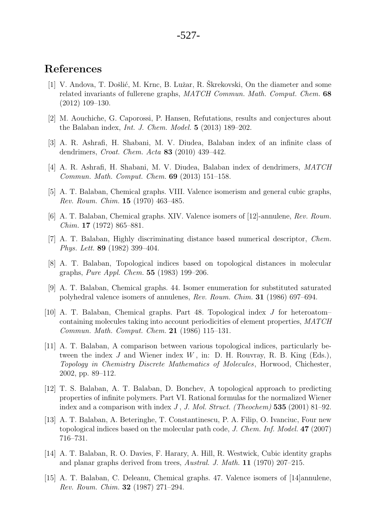### References

- [1] V. Andova, T. Došlić, M. Krnc, B. Lužar, R. Škrekovski, On the diameter and some related invariants of fullerene graphs, MATCH Commun. Math. Comput. Chem. 68 (2012) 109–130.
- [2] M. Aouchiche, G. Caporossi, P. Hansen, Refutations, results and conjectures about the Balaban index, Int. J. Chem. Model. 5 (2013) 189–202.
- [3] A. R. Ashrafi, H. Shabani, M. V. Diudea, Balaban index of an infinite class of dendrimers, Croat. Chem. Acta 83 (2010) 439–442.
- [4] A. R. Ashrafi, H. Shabani, M. V. Diudea, Balaban index of dendrimers, MATCH Commun. Math. Comput. Chem. 69 (2013) 151–158.
- [5] A. T. Balaban, Chemical graphs. VIII. Valence isomerism and general cubic graphs, Rev. Roum. Chim. 15 (1970) 463–485.
- [6] A. T. Balaban, Chemical graphs. XIV. Valence isomers of [12]-annulene, Rev. Roum. Chim. 17 (1972) 865–881.
- [7] A. T. Balaban, Highly discriminating distance based numerical descriptor, Chem. Phys. Lett. 89 (1982) 399–404.
- [8] A. T. Balaban, Topological indices based on topological distances in molecular graphs, Pure Appl. Chem. 55 (1983) 199–206.
- [9] A. T. Balaban, Chemical graphs. 44. Isomer enumeration for substituted saturated polyhedral valence isomers of annulenes, Rev. Roum. Chim. 31 (1986) 697–694.
- [10] A. T. Balaban, Chemical graphs. Part 48. Topological index J for heteroatom– containing molecules taking into account periodicities of element properties, MATCH Commun. Math. Comput. Chem. 21 (1986) 115–131.
- [11] A. T. Balaban, A comparison between various topological indices, particularly between the index  $J$  and Wiener index  $W$ , in: D. H. Rouvray, R. B. King (Eds.), Topology in Chemistry Discrete Mathematics of Molecules, Horwood, Chichester, 2002, pp. 89–112.
- [12] T. S. Balaban, A. T. Balaban, D. Bonchev, A topological approach to predicting properties of infinite polymers. Part VI. Rational formulas for the normalized Wiener index and a comparison with index J, J. Mol. Struct. (Theochem) 535 (2001) 81–92.
- [13] A. T. Balaban, A. Beteringhe, T. Constantinescu, P. A. Filip, O. Ivanciuc, Four new topological indices based on the molecular path code, J. Chem. Inf. Model. 47 (2007) 716–731.
- [14] A. T. Balaban, R. O. Davies, F. Harary, A. Hill, R. Westwick, Cubic identity graphs and planar graphs derived from trees, Austral. J. Math. 11 (1970) 207–215.
- [15] A. T. Balaban, C. Deleanu, Chemical graphs. 47. Valence isomers of [14]annulene, Rev. Roum. Chim. 32 (1987) 271–294.